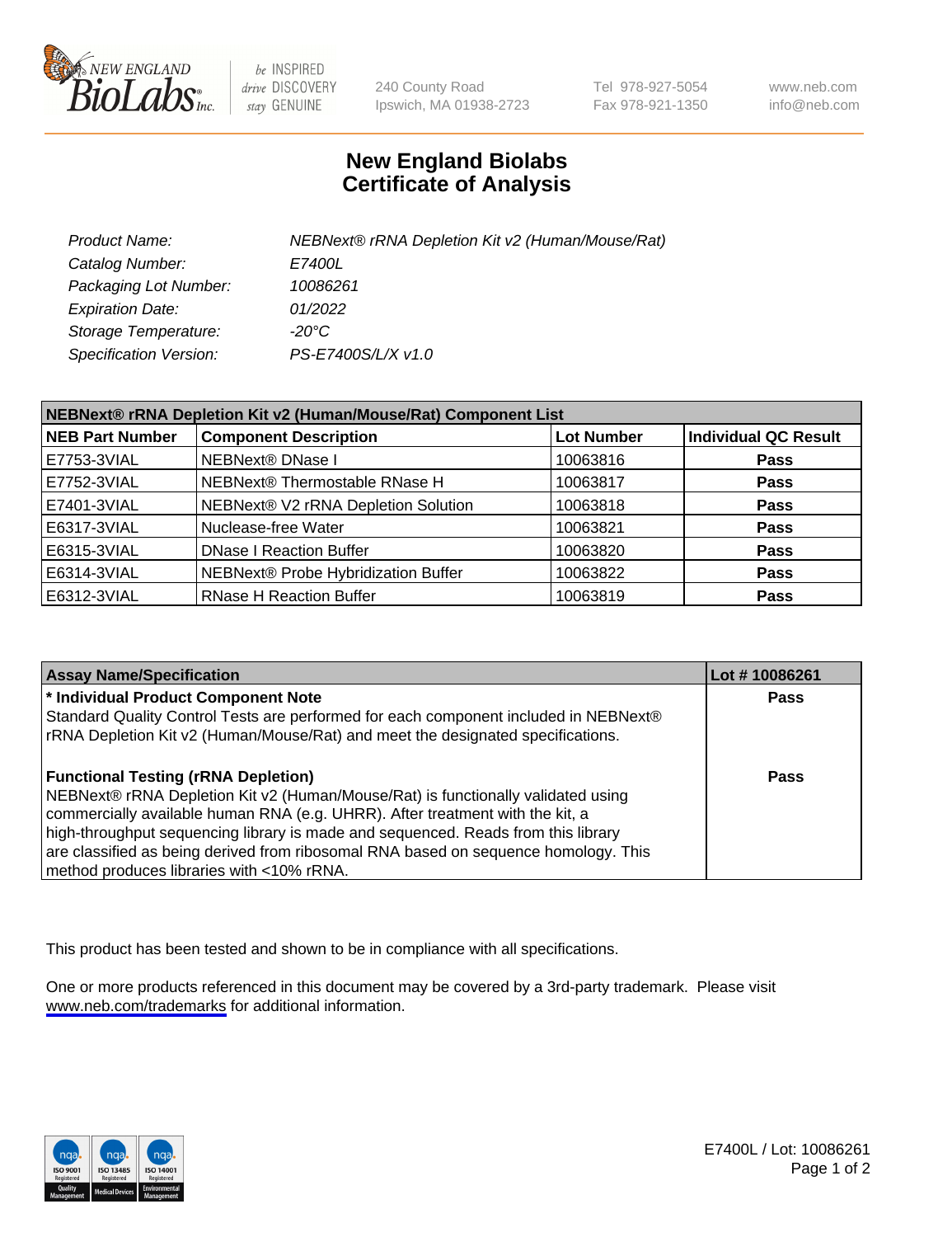

be INSPIRED drive DISCOVERY stay GENUINE

240 County Road Ipswich, MA 01938-2723 Tel 978-927-5054 Fax 978-921-1350

www.neb.com info@neb.com

## **New England Biolabs Certificate of Analysis**

| Product Name:           | NEBNext® rRNA Depletion Kit v2 (Human/Mouse/Rat) |
|-------------------------|--------------------------------------------------|
| Catalog Number:         | <i>E7400L</i>                                    |
| Packaging Lot Number:   | 10086261                                         |
| <b>Expiration Date:</b> | 01/2022                                          |
| Storage Temperature:    | -20°C                                            |
| Specification Version:  | PS-E7400S/L/X v1.0                               |

| NEBNext® rRNA Depletion Kit v2 (Human/Mouse/Rat) Component List |                                     |                   |                             |  |
|-----------------------------------------------------------------|-------------------------------------|-------------------|-----------------------------|--|
| <b>NEB Part Number</b>                                          | <b>Component Description</b>        | <b>Lot Number</b> | <b>Individual QC Result</b> |  |
| E7753-3VIAL                                                     | <b>NEBNext® DNase I</b>             | 10063816          | <b>Pass</b>                 |  |
| E7752-3VIAL                                                     | NEBNext® Thermostable RNase H       | 10063817          | <b>Pass</b>                 |  |
| E7401-3VIAL                                                     | NEBNext® V2 rRNA Depletion Solution | 10063818          | <b>Pass</b>                 |  |
| E6317-3VIAL                                                     | Nuclease-free Water                 | 10063821          | <b>Pass</b>                 |  |
| E6315-3VIAL                                                     | <b>DNase I Reaction Buffer</b>      | 10063820          | <b>Pass</b>                 |  |
| E6314-3VIAL                                                     | NEBNext® Probe Hybridization Buffer | 10063822          | <b>Pass</b>                 |  |
| E6312-3VIAL                                                     | <b>RNase H Reaction Buffer</b>      | 10063819          | <b>Pass</b>                 |  |

| <b>Assay Name/Specification</b>                                                      | Lot #10086261 |
|--------------------------------------------------------------------------------------|---------------|
| * Individual Product Component Note                                                  | <b>Pass</b>   |
| Standard Quality Control Tests are performed for each component included in NEBNext® |               |
| rRNA Depletion Kit v2 (Human/Mouse/Rat) and meet the designated specifications.      |               |
| <b>Functional Testing (rRNA Depletion)</b>                                           | Pass          |
| NEBNext® rRNA Depletion Kit v2 (Human/Mouse/Rat) is functionally validated using     |               |
| commercially available human RNA (e.g. UHRR). After treatment with the kit, a        |               |
| high-throughput sequencing library is made and sequenced. Reads from this library    |               |
| are classified as being derived from ribosomal RNA based on sequence homology. This  |               |
| method produces libraries with <10% rRNA.                                            |               |

This product has been tested and shown to be in compliance with all specifications.

One or more products referenced in this document may be covered by a 3rd-party trademark. Please visit <www.neb.com/trademarks>for additional information.